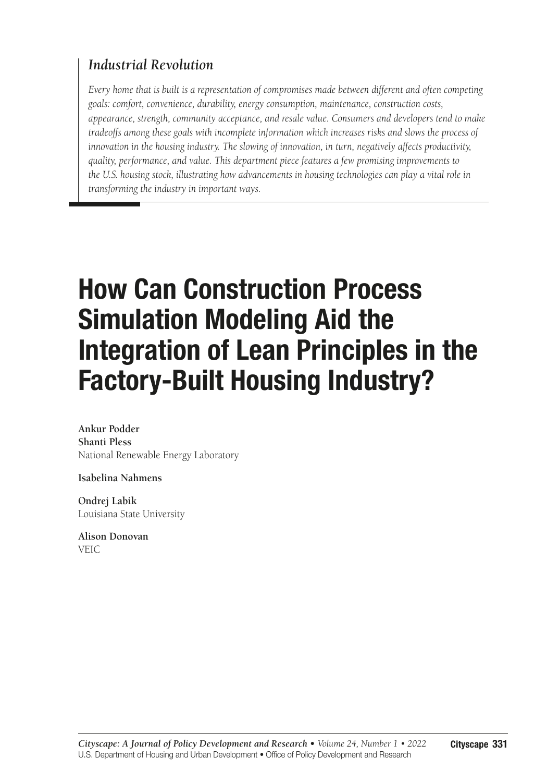# *Industrial Revolution*

*Every home that is built is a representation of compromises made between different and often competing goals: comfort, convenience, durability, energy consumption, maintenance, construction costs, appearance, strength, community acceptance, and resale value. Consumers and developers tend to make tradeoffs among these goals with incomplete information which increases risks and slows the process of innovation in the housing industry. The slowing of innovation, in turn, negatively affects productivity, quality, performance, and value. This department piece features a few promising improvements to the U.S. housing stock, illustrating how advancements in housing technologies can play a vital role in transforming the industry in important ways.*

# How Can Construction Process Simulation Modeling Aid the Integration of Lean Principles in the Factory-Built Housing Industry?

**Ankur Podder Shanti Pless** National Renewable Energy Laboratory

**Isabelina Nahmens**

**Ondrej Labik** Louisiana State University

**Alison Donovan** VEIC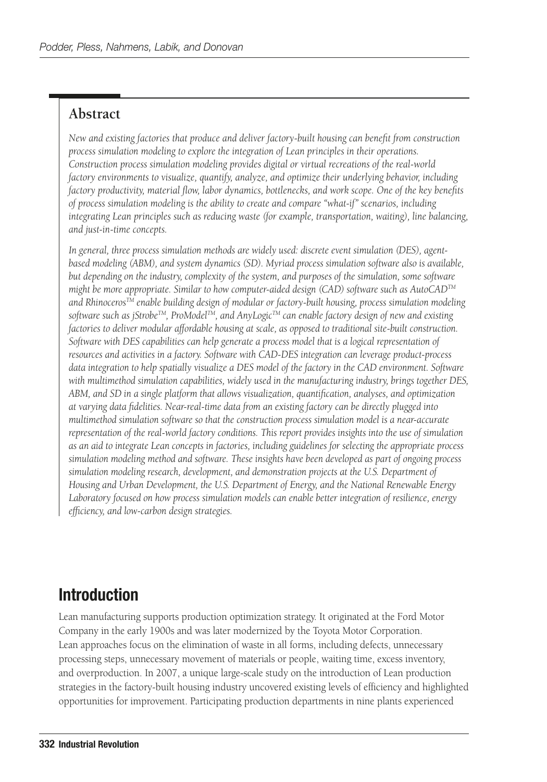## **Abstract**

*New and existing factories that produce and deliver factory-built housing can benefit from construction process simulation modeling to explore the integration of Lean principles in their operations. Construction process simulation modeling provides digital or virtual recreations of the real-world factory environments to visualize, quantify, analyze, and optimize their underlying behavior, including factory productivity, material flow, labor dynamics, bottlenecks, and work scope. One of the key benefits of process simulation modeling is the ability to create and compare "what-if" scenarios, including integrating Lean principles such as reducing waste (for example, transportation, waiting), line balancing, and just-in-time concepts.*

*In general, three process simulation methods are widely used: discrete event simulation (DES), agentbased modeling (ABM), and system dynamics (SD). Myriad process simulation software also is available, but depending on the industry, complexity of the system, and purposes of the simulation, some software might be more appropriate. Similar to how computer-aided design (CAD) software such as AutoCADTM and RhinocerosTM enable building design of modular or factory-built housing, process simulation modeling software such as jStrobeTM, ProModelTM, and AnyLogicTM can enable factory design of new and existing factories to deliver modular affordable housing at scale, as opposed to traditional site-built construction. Software with DES capabilities can help generate a process model that is a logical representation of resources and activities in a factory. Software with CAD-DES integration can leverage product-process data integration to help spatially visualize a DES model of the factory in the CAD environment. Software with multimethod simulation capabilities, widely used in the manufacturing industry, brings together DES, ABM, and SD in a single platform that allows visualization, quantification, analyses, and optimization at varying data fidelities. Near-real-time data from an existing factory can be directly plugged into multimethod simulation software so that the construction process simulation model is a near-accurate representation of the real-world factory conditions. This report provides insights into the use of simulation as an aid to integrate Lean concepts in factories, including guidelines for selecting the appropriate process simulation modeling method and software. These insights have been developed as part of ongoing process simulation modeling research, development, and demonstration projects at the U.S. Department of Housing and Urban Development, the U.S. Department of Energy, and the National Renewable Energy Laboratory focused on how process simulation models can enable better integration of resilience, energy efficiency, and low-carbon design strategies.*

# Introduction

Lean manufacturing supports production optimization strategy. It originated at the Ford Motor Company in the early 1900s and was later modernized by the Toyota Motor Corporation. Lean approaches focus on the elimination of waste in all forms, including defects, unnecessary processing steps, unnecessary movement of materials or people, waiting time, excess inventory, and overproduction. In 2007, a unique large-scale study on the introduction of Lean production strategies in the factory-built housing industry uncovered existing levels of efficiency and highlighted opportunities for improvement. Participating production departments in nine plants experienced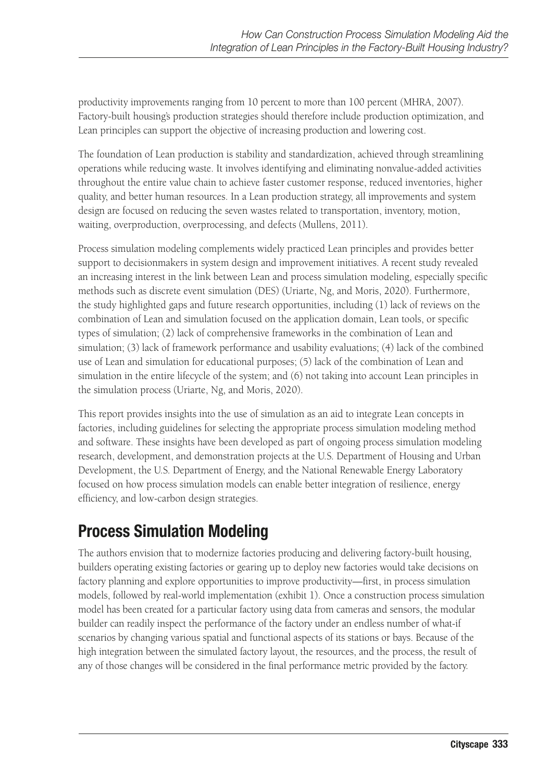productivity improvements ranging from 10 percent to more than 100 percent (MHRA, 2007). Factory-built housing's production strategies should therefore include production optimization, and Lean principles can support the objective of increasing production and lowering cost.

The foundation of Lean production is stability and standardization, achieved through streamlining operations while reducing waste. It involves identifying and eliminating nonvalue-added activities throughout the entire value chain to achieve faster customer response, reduced inventories, higher quality, and better human resources. In a Lean production strategy, all improvements and system design are focused on reducing the seven wastes related to transportation, inventory, motion, waiting, overproduction, overprocessing, and defects (Mullens, 2011).

Process simulation modeling complements widely practiced Lean principles and provides better support to decisionmakers in system design and improvement initiatives. A recent study revealed an increasing interest in the link between Lean and process simulation modeling, especially specific methods such as discrete event simulation (DES) (Uriarte, Ng, and Moris, 2020). Furthermore, the study highlighted gaps and future research opportunities, including (1) lack of reviews on the combination of Lean and simulation focused on the application domain, Lean tools, or specific types of simulation; (2) lack of comprehensive frameworks in the combination of Lean and simulation; (3) lack of framework performance and usability evaluations; (4) lack of the combined use of Lean and simulation for educational purposes; (5) lack of the combination of Lean and simulation in the entire lifecycle of the system; and (6) not taking into account Lean principles in the simulation process (Uriarte, Ng, and Moris, 2020).

This report provides insights into the use of simulation as an aid to integrate Lean concepts in factories, including guidelines for selecting the appropriate process simulation modeling method and software. These insights have been developed as part of ongoing process simulation modeling research, development, and demonstration projects at the U.S. Department of Housing and Urban Development, the U.S. Department of Energy, and the National Renewable Energy Laboratory focused on how process simulation models can enable better integration of resilience, energy efficiency, and low-carbon design strategies.

# Process Simulation Modeling

The authors envision that to modernize factories producing and delivering factory-built housing, builders operating existing factories or gearing up to deploy new factories would take decisions on factory planning and explore opportunities to improve productivity—first, in process simulation models, followed by real-world implementation (exhibit 1). Once a construction process simulation model has been created for a particular factory using data from cameras and sensors, the modular builder can readily inspect the performance of the factory under an endless number of what-if scenarios by changing various spatial and functional aspects of its stations or bays. Because of the high integration between the simulated factory layout, the resources, and the process, the result of any of those changes will be considered in the final performance metric provided by the factory.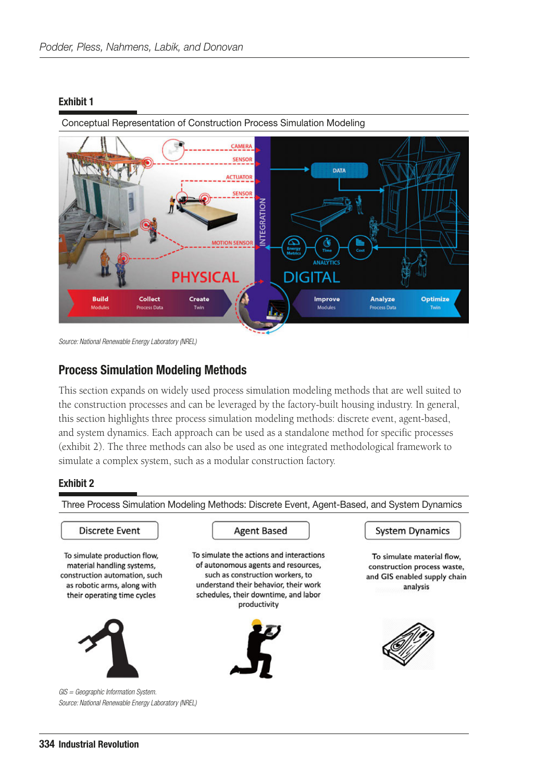#### Exhibit 1



Conceptual Representation of Construction Process Simulation Modeling

*Source: National Renewable Energy Laboratory (NREL)*

#### Process Simulation Modeling Methods

This section expands on widely used process simulation modeling methods that are well suited to the construction processes and can be leveraged by the factory-built housing industry. In general, this section highlights three process simulation modeling methods: discrete event, agent-based, and system dynamics. Each approach can be used as a standalone method for specific processes (exhibit 2). The three methods can also be used as one integrated methodological framework to simulate a complex system, such as a modular construction factory.

#### Exhibit 2

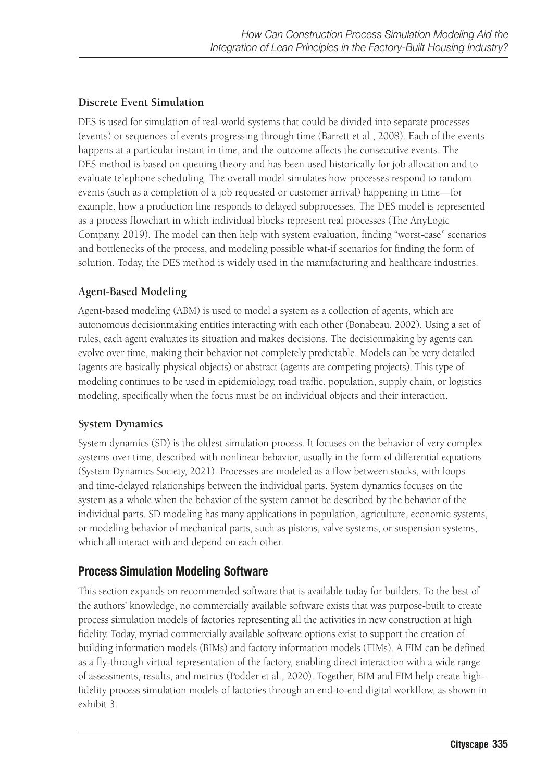#### **Discrete Event Simulation**

DES is used for simulation of real-world systems that could be divided into separate processes (events) or sequences of events progressing through time (Barrett et al., 2008). Each of the events happens at a particular instant in time, and the outcome affects the consecutive events. The DES method is based on queuing theory and has been used historically for job allocation and to evaluate telephone scheduling. The overall model simulates how processes respond to random events (such as a completion of a job requested or customer arrival) happening in time—for example, how a production line responds to delayed subprocesses. The DES model is represented as a process flowchart in which individual blocks represent real processes (The AnyLogic Company, 2019). The model can then help with system evaluation, finding "worst-case" scenarios and bottlenecks of the process, and modeling possible what-if scenarios for finding the form of solution. Today, the DES method is widely used in the manufacturing and healthcare industries.

#### **Agent-Based Modeling**

Agent-based modeling (ABM) is used to model a system as a collection of agents, which are autonomous decisionmaking entities interacting with each other (Bonabeau, 2002). Using a set of rules, each agent evaluates its situation and makes decisions. The decisionmaking by agents can evolve over time, making their behavior not completely predictable. Models can be very detailed (agents are basically physical objects) or abstract (agents are competing projects). This type of modeling continues to be used in epidemiology, road traffic, population, supply chain, or logistics modeling, specifically when the focus must be on individual objects and their interaction.

#### **System Dynamics**

System dynamics (SD) is the oldest simulation process. It focuses on the behavior of very complex systems over time, described with nonlinear behavior, usually in the form of differential equations (System Dynamics Society, 2021). Processes are modeled as a flow between stocks, with loops and time-delayed relationships between the individual parts. System dynamics focuses on the system as a whole when the behavior of the system cannot be described by the behavior of the individual parts. SD modeling has many applications in population, agriculture, economic systems, or modeling behavior of mechanical parts, such as pistons, valve systems, or suspension systems, which all interact with and depend on each other.

### Process Simulation Modeling Software

This section expands on recommended software that is available today for builders. To the best of the authors' knowledge, no commercially available software exists that was purpose-built to create process simulation models of factories representing all the activities in new construction at high fidelity. Today, myriad commercially available software options exist to support the creation of building information models (BIMs) and factory information models (FIMs). A FIM can be defined as a fly-through virtual representation of the factory, enabling direct interaction with a wide range of assessments, results, and metrics (Podder et al., 2020). Together, BIM and FIM help create highfidelity process simulation models of factories through an end-to-end digital workflow, as shown in exhibit 3.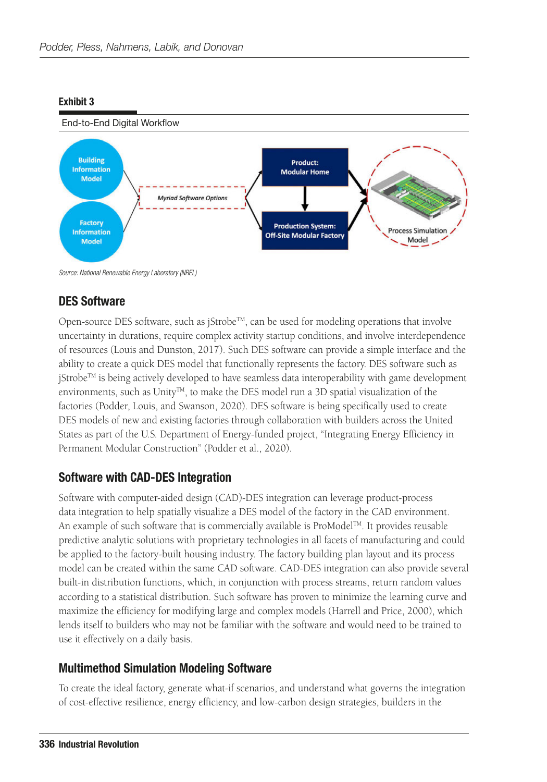#### Exhibit 3



*Source: National Renewable Energy Laboratory (NREL)*

### DES Software

Open-source DES software, such as  $[Strobe^{TM}]$ , can be used for modeling operations that involve uncertainty in durations, require complex activity startup conditions, and involve interdependence of resources (Louis and Dunston, 2017). Such DES software can provide a simple interface and the ability to create a quick DES model that functionally represents the factory. DES software such as  $j$ Strobe<sup>TM</sup> is being actively developed to have seamless data interoperability with game development environments, such as Unity<sup>TM</sup>, to make the DES model run a 3D spatial visualization of the factories (Podder, Louis, and Swanson, 2020). DES software is being specifically used to create DES models of new and existing factories through collaboration with builders across the United States as part of the U.S. Department of Energy-funded project, "Integrating Energy Efficiency in Permanent Modular Construction" (Podder et al., 2020).

### Software with CAD-DES Integration

Software with computer-aided design (CAD)-DES integration can leverage product-process data integration to help spatially visualize a DES model of the factory in the CAD environment. An example of such software that is commercially available is ProModel™. It provides reusable predictive analytic solutions with proprietary technologies in all facets of manufacturing and could be applied to the factory-built housing industry. The factory building plan layout and its process model can be created within the same CAD software. CAD-DES integration can also provide several built-in distribution functions, which, in conjunction with process streams, return random values according to a statistical distribution. Such software has proven to minimize the learning curve and maximize the efficiency for modifying large and complex models (Harrell and Price, 2000), which lends itself to builders who may not be familiar with the software and would need to be trained to use it effectively on a daily basis.

### Multimethod Simulation Modeling Software

To create the ideal factory, generate what-if scenarios, and understand what governs the integration of cost-effective resilience, energy efficiency, and low-carbon design strategies, builders in the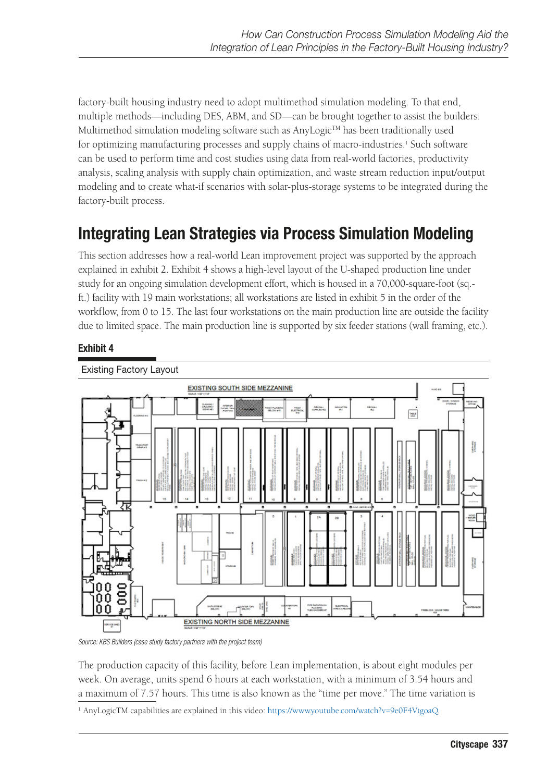factory-built housing industry need to adopt multimethod simulation modeling. To that end, multiple methods—including DES, ABM, and SD—can be brought together to assist the builders. Multimethod simulation modeling software such as AnyLogic $^{TM}$  has been traditionally used for optimizing manufacturing processes and supply chains of macro-industries.<sup>1</sup> Such software can be used to perform time and cost studies using data from real-world factories, productivity analysis, scaling analysis with supply chain optimization, and waste stream reduction input/output modeling and to create what-if scenarios with solar-plus-storage systems to be integrated during the factory-built process.

# Integrating Lean Strategies via Process Simulation Modeling

This section addresses how a real-world Lean improvement project was supported by the approach explained in exhibit 2. Exhibit 4 shows a high-level layout of the U-shaped production line under study for an ongoing simulation development effort, which is housed in a 70,000-square-foot (sq.ft.) facility with 19 main workstations; all workstations are listed in exhibit 5 in the order of the workflow, from 0 to 15. The last four workstations on the main production line are outside the facility due to limited space. The main production line is supported by six feeder stations (wall framing, etc.).

#### Exhibit 4



*Source: KBS Builders (case study factory partners with the project team)*

The production capacity of this facility, before Lean implementation, is about eight modules per week. On average, units spend 6 hours at each workstation, with a minimum of 3.54 hours and a maximum of 7.57 hours. This time is also known as the "time per move." The time variation is

<sup>&</sup>lt;sup>1</sup> AnyLogicTM capabilities are explained in this video: <https://www.youtube.com/watch?v=9e0F4VtgoaQ>.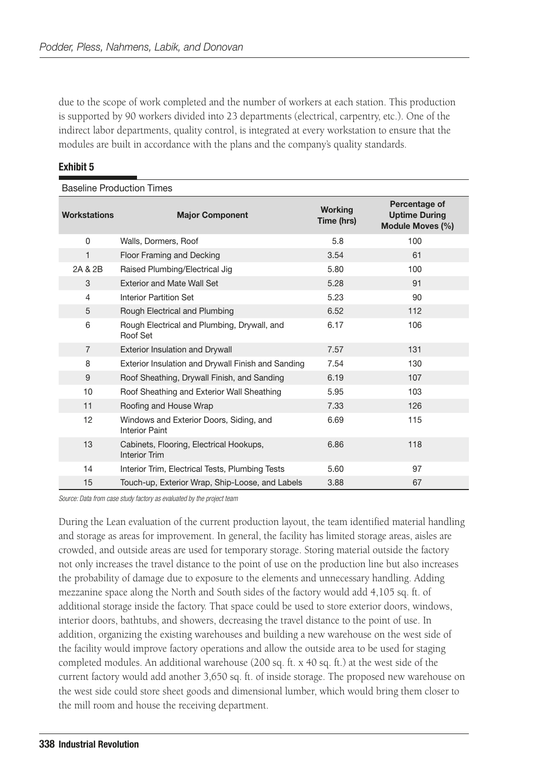due to the scope of work completed and the number of workers at each station. This production is supported by 90 workers divided into 23 departments (electrical, carpentry, etc.). One of the indirect labor departments, quality control, is integrated at every workstation to ensure that the modules are built in accordance with the plans and the company's quality standards.

| <b>Baseline Production Times</b> |                                                                  |                              |                                                           |  |  |
|----------------------------------|------------------------------------------------------------------|------------------------------|-----------------------------------------------------------|--|--|
| <b>Workstations</b>              | <b>Major Component</b>                                           | <b>Working</b><br>Time (hrs) | Percentage of<br><b>Uptime During</b><br>Module Moves (%) |  |  |
| $\Omega$                         | Walls, Dormers, Roof                                             | 5.8                          | 100                                                       |  |  |
| 1                                | Floor Framing and Decking                                        | 3.54                         | 61                                                        |  |  |
| 2A & 2B                          | Raised Plumbing/Electrical Jig                                   | 5.80                         | 100                                                       |  |  |
| 3                                | <b>Exterior and Mate Wall Set</b>                                | 5.28                         | 91                                                        |  |  |
| 4                                | Interior Partition Set                                           | 5.23                         | 90                                                        |  |  |
| 5                                | Rough Electrical and Plumbing                                    | 6.52                         | 112                                                       |  |  |
| 6                                | Rough Electrical and Plumbing, Drywall, and<br>Roof Set          | 6.17                         | 106                                                       |  |  |
| $\overline{7}$                   | <b>Exterior Insulation and Drywall</b>                           | 7.57                         | 131                                                       |  |  |
| 8                                | Exterior Insulation and Drywall Finish and Sanding               | 7.54                         | 130                                                       |  |  |
| 9                                | Roof Sheathing, Drywall Finish, and Sanding                      | 6.19                         | 107                                                       |  |  |
| 10                               | Roof Sheathing and Exterior Wall Sheathing                       | 5.95                         | 103                                                       |  |  |
| 11                               | Roofing and House Wrap                                           | 7.33                         | 126                                                       |  |  |
| 12                               | Windows and Exterior Doors, Siding, and<br><b>Interior Paint</b> | 6.69                         | 115                                                       |  |  |
| 13                               | Cabinets, Flooring, Electrical Hookups,<br><b>Interior Trim</b>  | 6.86                         | 118                                                       |  |  |
| 14                               | Interior Trim, Electrical Tests, Plumbing Tests                  | 5.60                         | 97                                                        |  |  |
| 15                               | Touch-up, Exterior Wrap, Ship-Loose, and Labels                  | 3.88                         | 67                                                        |  |  |

#### Exhibit 5

*Source: Data from case study factory as evaluated by the project team*

During the Lean evaluation of the current production layout, the team identified material handling and storage as areas for improvement. In general, the facility has limited storage areas, aisles are crowded, and outside areas are used for temporary storage. Storing material outside the factory not only increases the travel distance to the point of use on the production line but also increases the probability of damage due to exposure to the elements and unnecessary handling. Adding mezzanine space along the North and South sides of the factory would add 4,105 sq. ft. of additional storage inside the factory. That space could be used to store exterior doors, windows, interior doors, bathtubs, and showers, decreasing the travel distance to the point of use. In addition, organizing the existing warehouses and building a new warehouse on the west side of the facility would improve factory operations and allow the outside area to be used for staging completed modules. An additional warehouse (200 sq. ft. x 40 sq. ft.) at the west side of the current factory would add another 3,650 sq. ft. of inside storage. The proposed new warehouse on the west side could store sheet goods and dimensional lumber, which would bring them closer to the mill room and house the receiving department.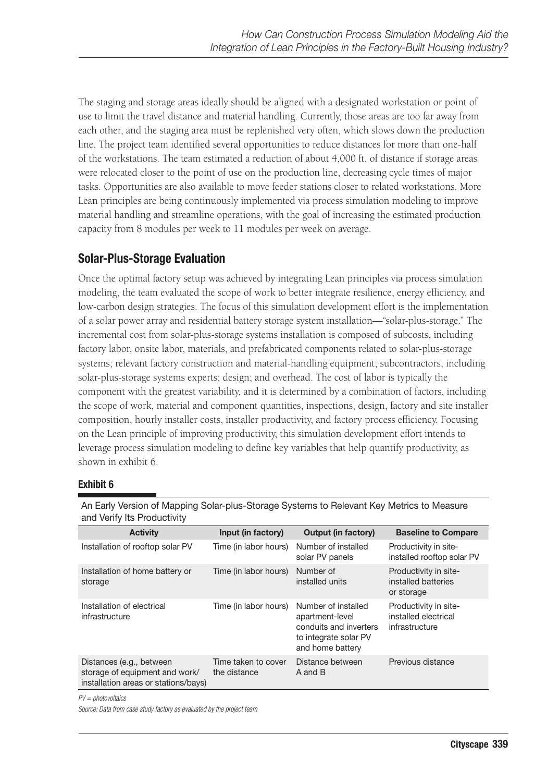The staging and storage areas ideally should be aligned with a designated workstation or point of use to limit the travel distance and material handling. Currently, those areas are too far away from each other, and the staging area must be replenished very often, which slows down the production line. The project team identified several opportunities to reduce distances for more than one-half of the workstations. The team estimated a reduction of about 4,000 ft. of distance if storage areas were relocated closer to the point of use on the production line, decreasing cycle times of major tasks. Opportunities are also available to move feeder stations closer to related workstations. More Lean principles are being continuously implemented via process simulation modeling to improve material handling and streamline operations, with the goal of increasing the estimated production capacity from 8 modules per week to 11 modules per week on average.

### Solar-Plus-Storage Evaluation

Once the optimal factory setup was achieved by integrating Lean principles via process simulation modeling, the team evaluated the scope of work to better integrate resilience, energy efficiency, and low-carbon design strategies. The focus of this simulation development effort is the implementation of a solar power array and residential battery storage system installation—"solar-plus-storage." The incremental cost from solar-plus-storage systems installation is composed of subcosts, including factory labor, onsite labor, materials, and prefabricated components related to solar-plus-storage systems; relevant factory construction and material-handling equipment; subcontractors, including solar-plus-storage systems experts; design; and overhead. The cost of labor is typically the component with the greatest variability, and it is determined by a combination of factors, including the scope of work, material and component quantities, inspections, design, factory and site installer composition, hourly installer costs, installer productivity, and factory process efficiency. Focusing on the Lean principle of improving productivity, this simulation development effort intends to leverage process simulation modeling to define key variables that help quantify productivity, as shown in exhibit 6.

#### Exhibit 6

| and verify not request vity                                                                        |                                     |                                                                                                               |                                                                 |  |  |
|----------------------------------------------------------------------------------------------------|-------------------------------------|---------------------------------------------------------------------------------------------------------------|-----------------------------------------------------------------|--|--|
| <b>Activity</b>                                                                                    | Input (in factory)                  | <b>Output (in factory)</b>                                                                                    | <b>Baseline to Compare</b>                                      |  |  |
| Installation of rooftop solar PV                                                                   | Time (in labor hours)               | Number of installed<br>solar PV panels                                                                        | Productivity in site-<br>installed rooftop solar PV             |  |  |
| Installation of home battery or<br>storage                                                         | Time (in labor hours)               | Number of<br>installed units                                                                                  | Productivity in site-<br>installed batteries<br>or storage      |  |  |
| Installation of electrical<br>infrastructure                                                       | Time (in labor hours)               | Number of installed<br>apartment-level<br>conduits and inverters<br>to integrate solar PV<br>and home battery | Productivity in site-<br>installed electrical<br>infrastructure |  |  |
| Distances (e.g., between<br>storage of equipment and work/<br>installation areas or stations/bays) | Time taken to cover<br>the distance | Distance between<br>A and B                                                                                   | Previous distance                                               |  |  |

An Early Version of Mapping Solar-plus-Storage Systems to Relevant Key Metrics to Measure and Verify Its Productivity

*PV = photovoltaics*

*Source: Data from case study factory as evaluated by the project team*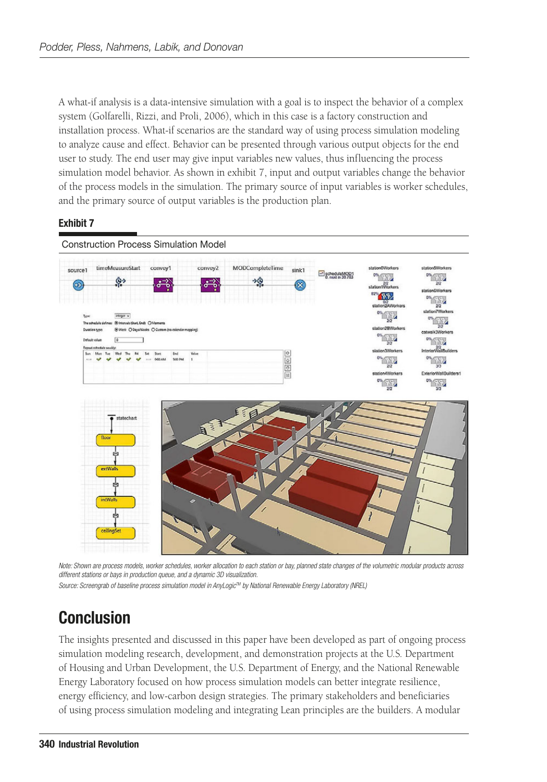A what-if analysis is a data-intensive simulation with a goal is to inspect the behavior of a complex system (Golfarelli, Rizzi, and Proli, 2006), which in this case is a factory construction and installation process. What-if scenarios are the standard way of using process simulation modeling to analyze cause and effect. Behavior can be presented through various output objects for the end user to study. The end user may give input variables new values, thus influencing the process simulation model behavior. As shown in exhibit 7, input and output variables change the behavior of the process models in the simulation. The primary source of input variables is worker schedules, and the primary source of output variables is the production plan.

#### Exhibit 7



*Note: Shown are process models, worker schedules, worker allocation to each station or bay, planned state changes of the volumetric modular products across different stations or bays in production queue, and a dynamic 3D visualization.*

#### *Source: Screengrab of baseline process simulation model in AnyLogicTM by National Renewable Energy Laboratory (NREL)*

# **Conclusion**

The insights presented and discussed in this paper have been developed as part of ongoing process simulation modeling research, development, and demonstration projects at the U.S. Department of Housing and Urban Development, the U.S. Department of Energy, and the National Renewable Energy Laboratory focused on how process simulation models can better integrate resilience, energy efficiency, and low-carbon design strategies. The primary stakeholders and beneficiaries of using process simulation modeling and integrating Lean principles are the builders. A modular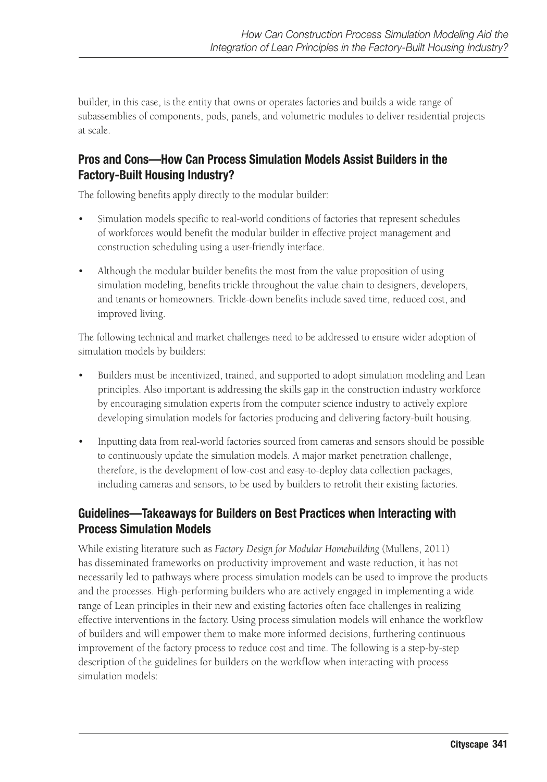builder, in this case, is the entity that owns or operates factories and builds a wide range of subassemblies of components, pods, panels, and volumetric modules to deliver residential projects at scale.

### Pros and Cons—How Can Process Simulation Models Assist Builders in the Factory-Built Housing Industry?

The following benefits apply directly to the modular builder:

- Simulation models specific to real-world conditions of factories that represent schedules of workforces would benefit the modular builder in effective project management and construction scheduling using a user-friendly interface.
- Although the modular builder benefits the most from the value proposition of using simulation modeling, benefits trickle throughout the value chain to designers, developers, and tenants or homeowners. Trickle-down benefits include saved time, reduced cost, and improved living.

The following technical and market challenges need to be addressed to ensure wider adoption of simulation models by builders:

- Builders must be incentivized, trained, and supported to adopt simulation modeling and Lean principles. Also important is addressing the skills gap in the construction industry workforce by encouraging simulation experts from the computer science industry to actively explore developing simulation models for factories producing and delivering factory-built housing.
- Inputting data from real-world factories sourced from cameras and sensors should be possible to continuously update the simulation models. A major market penetration challenge, therefore, is the development of low-cost and easy-to-deploy data collection packages, including cameras and sensors, to be used by builders to retrofit their existing factories.

# Guidelines—Takeaways for Builders on Best Practices when Interacting with Process Simulation Models

While existing literature such as *Factory Design for Modular Homebuilding* (Mullens, 2011) has disseminated frameworks on productivity improvement and waste reduction, it has not necessarily led to pathways where process simulation models can be used to improve the products and the processes. High-performing builders who are actively engaged in implementing a wide range of Lean principles in their new and existing factories often face challenges in realizing effective interventions in the factory. Using process simulation models will enhance the workflow of builders and will empower them to make more informed decisions, furthering continuous improvement of the factory process to reduce cost and time. The following is a step-by-step description of the guidelines for builders on the workflow when interacting with process simulation models: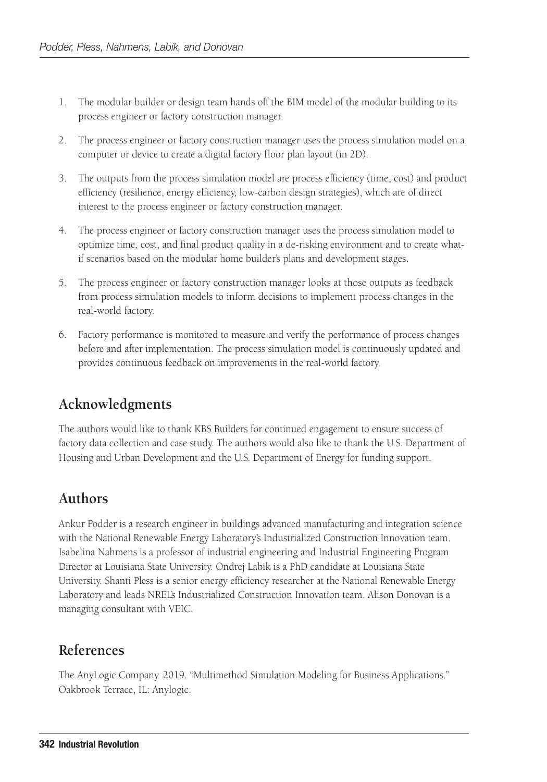- 1. The modular builder or design team hands off the BIM model of the modular building to its process engineer or factory construction manager.
- 2. The process engineer or factory construction manager uses the process simulation model on a computer or device to create a digital factory floor plan layout (in 2D).
- 3. The outputs from the process simulation model are process efficiency (time, cost) and product efficiency (resilience, energy efficiency, low-carbon design strategies), which are of direct interest to the process engineer or factory construction manager.
- 4. The process engineer or factory construction manager uses the process simulation model to optimize time, cost, and final product quality in a de-risking environment and to create whatif scenarios based on the modular home builder's plans and development stages.
- 5. The process engineer or factory construction manager looks at those outputs as feedback from process simulation models to inform decisions to implement process changes in the real-world factory.
- 6. Factory performance is monitored to measure and verify the performance of process changes before and after implementation. The process simulation model is continuously updated and provides continuous feedback on improvements in the real-world factory.

# **Acknowledgments**

The authors would like to thank KBS Builders for continued engagement to ensure success of factory data collection and case study. The authors would also like to thank the U.S. Department of Housing and Urban Development and the U.S. Department of Energy for funding support.

# **Authors**

Ankur Podder is a research engineer in buildings advanced manufacturing and integration science with the National Renewable Energy Laboratory's Industrialized Construction Innovation team. Isabelina Nahmens is a professor of industrial engineering and Industrial Engineering Program Director at Louisiana State University. Ondrej Labik is a PhD candidate at Louisiana State University. Shanti Pless is a senior energy efficiency researcher at the National Renewable Energy Laboratory and leads NREL's Industrialized Construction Innovation team. Alison Donovan is a managing consultant with VEIC.

# **References**

The AnyLogic Company. 2019. "Multimethod Simulation Modeling for Business Applications." Oakbrook Terrace, IL: Anylogic.